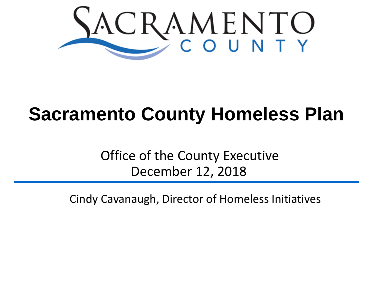

## **Sacramento County Homeless Plan**

Office of the County Executive December 12, 2018

Cindy Cavanaugh, Director of Homeless Initiatives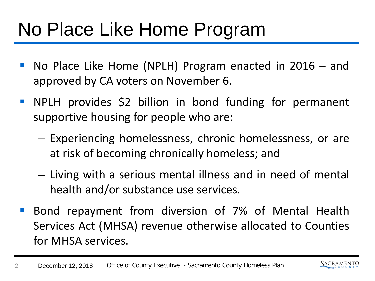## No Place Like Home Program

- No Place Like Home (NPLH) Program enacted in 2016 and approved by CA voters on November 6.
- NPLH provides \$2 billion in bond funding for permanent supportive housing for people who are:
	- Experiencing homelessness, chronic homelessness, or are at risk of becoming chronically homeless; and
	- Living with a serious mental illness and in need of mental health and/or substance use services.
- **Bond repayment from diversion of 7% of Mental Health** Services Act (MHSA) revenue otherwise allocated to Counties for MHSA services.

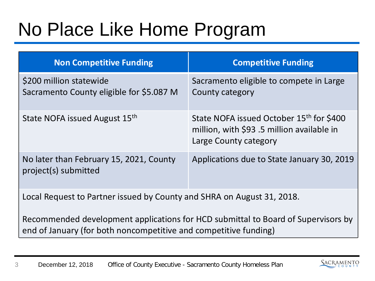# No Place Like Home Program

| <b>Non Competitive Funding</b>                                                                                                                        | <b>Competitive Funding</b>                                                                                     |
|-------------------------------------------------------------------------------------------------------------------------------------------------------|----------------------------------------------------------------------------------------------------------------|
| \$200 million statewide<br>Sacramento County eligible for \$5.087 M                                                                                   | Sacramento eligible to compete in Large<br>County category                                                     |
| State NOFA issued August 15th                                                                                                                         | State NOFA issued October 15th for \$400<br>million, with \$93.5 million available in<br>Large County category |
| No later than February 15, 2021, County<br>project(s) submitted                                                                                       | Applications due to State January 30, 2019                                                                     |
| Local Request to Partner issued by County and SHRA on August 31, 2018.                                                                                |                                                                                                                |
| Recommended development applications for HCD submittal to Board of Supervisors by<br>end of January (for both noncompetitive and competitive funding) |                                                                                                                |

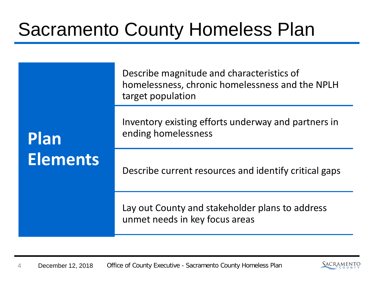## Sacramento County Homeless Plan

| Plan<br><b>Elements</b> | Describe magnitude and characteristics of<br>homelessness, chronic homelessness and the NPLH<br>target population |
|-------------------------|-------------------------------------------------------------------------------------------------------------------|
|                         | Inventory existing efforts underway and partners in<br>ending homelessness                                        |
|                         | Describe current resources and identify critical gaps                                                             |
|                         | Lay out County and stakeholder plans to address<br>unmet needs in key focus areas                                 |

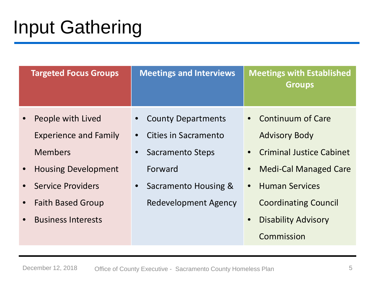# Input Gathering

| <b>Targeted Focus Groups</b>          | <b>Meetings and Interviews</b>       | <b>Meetings with Established</b><br><b>Groups</b> |
|---------------------------------------|--------------------------------------|---------------------------------------------------|
| People with Lived                     | <b>County Departments</b>            | • Continuum of Care                               |
| <b>Experience and Family</b>          | Cities in Sacramento                 | <b>Advisory Body</b>                              |
| <b>Members</b>                        | <b>Sacramento Steps</b><br>$\bullet$ | <b>Criminal Justice Cabinet</b><br>$\bullet$      |
| <b>Housing Development</b>            | Forward                              | <b>Medi-Cal Managed Care</b><br>$\bullet$         |
| <b>Service Providers</b>              | Sacramento Housing &<br>$\bullet$    | <b>Human Services</b><br>$\bullet$                |
| <b>Faith Based Group</b><br>$\bullet$ | Redevelopment Agency                 | <b>Coordinating Council</b>                       |
| <b>Business Interests</b>             |                                      | <b>Disability Advisory</b>                        |
|                                       |                                      | Commission                                        |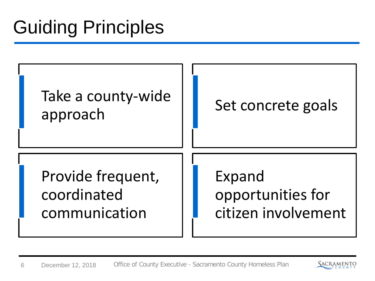# Guiding Principles



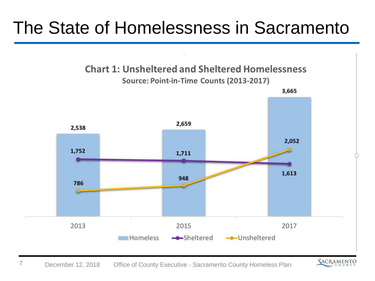#### The State of Homelessness in Sacramento



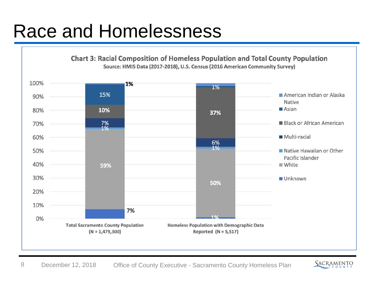#### Race and Homelessness



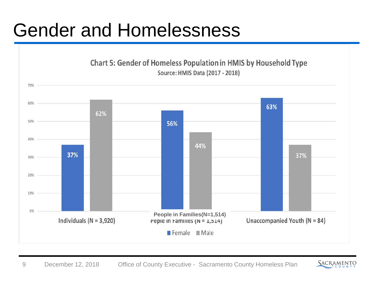## Gender and Homelessness



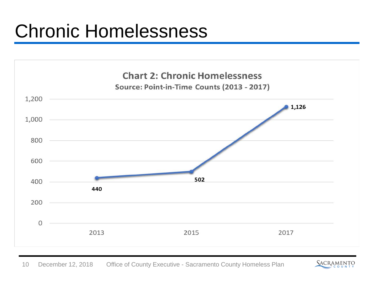#### Chronic Homelessness



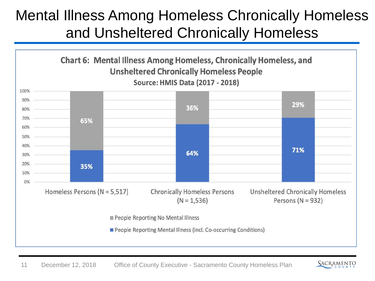#### Mental Illness Among Homeless Chronically Homeless and Unsheltered Chronically Homeless



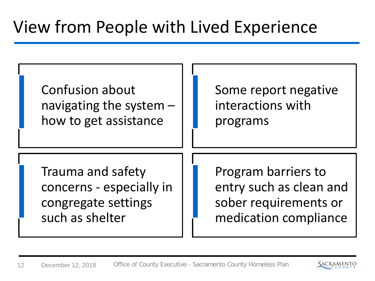#### View from People with Lived Experience

| <b>Confusion about</b>   | Some report negative    |
|--------------------------|-------------------------|
| navigating the system -  | interactions with       |
| how to get assistance    | programs                |
| Trauma and safety        | Program barriers to     |
| concerns - especially in | entry such as clean and |
| congregate settings      | sober requirements or   |
| such as shelter          | medication compliance   |

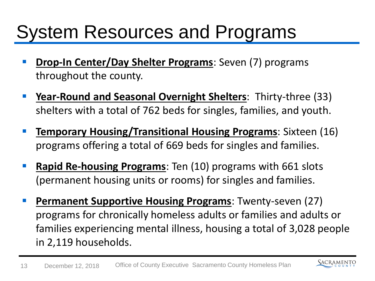## System Resources and Programs

- **Drop-In Center/Day Shelter Programs**: Seven (7) programs throughout the county.
- **Year-Round and Seasonal Overnight Shelters**: Thirty-three (33) shelters with a total of 762 beds for singles, families, and youth.
- **Temporary Housing/Transitional Housing Programs**: Sixteen (16) programs offering a total of 669 beds for singles and families.
- **Rapid Re-housing Programs**: Ten (10) programs with 661 slots (permanent housing units or rooms) for singles and families.
- **Permanent Supportive Housing Programs**: Twenty-seven (27) programs for chronically homeless adults or families and adults or families experiencing mental illness, housing a total of 3,028 people in 2,119 households.

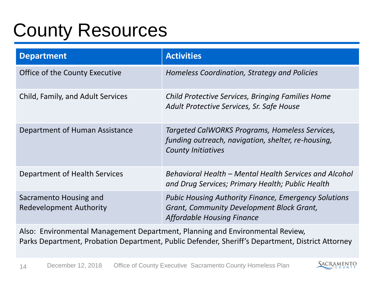## County Resources

| <b>Department</b>                                        | <b>Activities</b>                                                                                                                             |
|----------------------------------------------------------|-----------------------------------------------------------------------------------------------------------------------------------------------|
| Office of the County Executive                           | Homeless Coordination, Strategy and Policies                                                                                                  |
| Child, Family, and Adult Services                        | Child Protective Services, Bringing Families Home<br>Adult Protective Services, Sr. Safe House                                                |
| Department of Human Assistance                           | Targeted CalWORKS Programs, Homeless Services,<br>funding outreach, navigation, shelter, re-housing,<br><b>County Initiatives</b>             |
| Department of Health Services                            | Behavioral Health – Mental Health Services and Alcohol<br>and Drug Services; Primary Health; Public Health                                    |
| Sacramento Housing and<br><b>Redevelopment Authority</b> | <b>Pubic Housing Authority Finance, Emergency Solutions</b><br>Grant, Community Development Block Grant,<br><b>Affordable Housing Finance</b> |

Also: Environmental Management Department, Planning and Environmental Review, Parks Department, Probation Department, Public Defender, Sheriff's Department, District Attorney

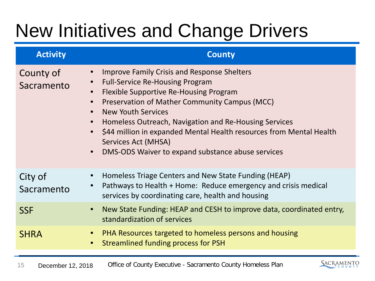# New Initiatives and Change Drivers

| <b>Activity</b>         | <b>County</b>                                                                                                                                                                                                                                                                                                                                                                                                                                                                                     |
|-------------------------|---------------------------------------------------------------------------------------------------------------------------------------------------------------------------------------------------------------------------------------------------------------------------------------------------------------------------------------------------------------------------------------------------------------------------------------------------------------------------------------------------|
| County of<br>Sacramento | <b>Improve Family Crisis and Response Shelters</b><br><b>Full-Service Re-Housing Program</b><br>$\bullet$<br>Flexible Supportive Re-Housing Program<br>Preservation of Mather Community Campus (MCC)<br><b>New Youth Services</b><br>$\bullet$<br>Homeless Outreach, Navigation and Re-Housing Services<br>$\bullet$<br>\$44 million in expanded Mental Health resources from Mental Health<br>$\bullet$<br>Services Act (MHSA)<br>DMS-ODS Waiver to expand substance abuse services<br>$\bullet$ |
| City of<br>Sacramento   | Homeless Triage Centers and New State Funding (HEAP)<br>Pathways to Health + Home: Reduce emergency and crisis medical<br>services by coordinating care, health and housing                                                                                                                                                                                                                                                                                                                       |
| <b>SSF</b>              | New State Funding: HEAP and CESH to improve data, coordinated entry,<br>$\bullet$<br>standardization of services                                                                                                                                                                                                                                                                                                                                                                                  |
| <b>SHRA</b>             | PHA Resources targeted to homeless persons and housing<br>$\bullet$<br>Streamlined funding process for PSH<br>$\bullet$                                                                                                                                                                                                                                                                                                                                                                           |
|                         |                                                                                                                                                                                                                                                                                                                                                                                                                                                                                                   |

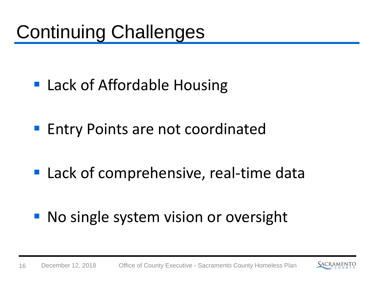- Lack of Affordable Housing
- **Entry Points are not coordinated**
- Lack of comprehensive, real-time data
- No single system vision or oversight

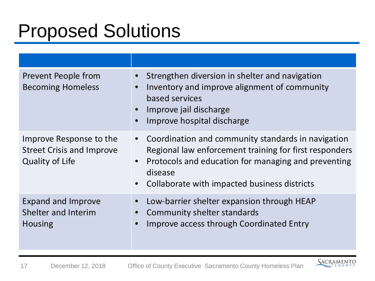# Proposed Solutions

| Prevent People from<br><b>Becoming Homeless</b>                                       | Strengthen diversion in shelter and navigation<br>$\bullet$<br>Inventory and improve alignment of community<br>based services<br>Improve jail discharge<br>$\bullet$<br>Improve hospital discharge                                                                    |
|---------------------------------------------------------------------------------------|-----------------------------------------------------------------------------------------------------------------------------------------------------------------------------------------------------------------------------------------------------------------------|
| Improve Response to the<br><b>Street Crisis and Improve</b><br><b>Quality of Life</b> | Coordination and community standards in navigation<br>$\bullet$<br>Regional law enforcement training for first responders<br>Protocols and education for managing and preventing<br>$\bullet$<br>disease<br>Collaborate with impacted business districts<br>$\bullet$ |
| <b>Expand and Improve</b><br>Shelter and Interim<br><b>Housing</b>                    | Low-barrier shelter expansion through HEAP<br>Community shelter standards<br>Improve access through Coordinated Entry                                                                                                                                                 |

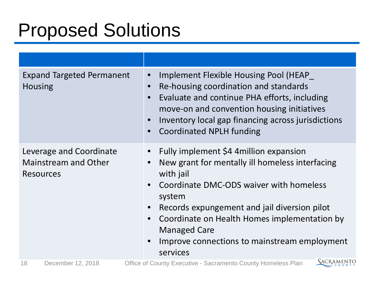## Proposed Solutions

| <b>Expand Targeted Permanent</b><br><b>Housing</b>                         | Implement Flexible Housing Pool (HEAP<br>$\bullet$<br>Re-housing coordination and standards<br>$\bullet$<br>Evaluate and continue PHA efforts, including<br>$\bullet$<br>move-on and convention housing initiatives<br>Inventory local gap financing across jurisdictions<br><b>Coordinated NPLH funding</b><br>$\bullet$                                                 |
|----------------------------------------------------------------------------|---------------------------------------------------------------------------------------------------------------------------------------------------------------------------------------------------------------------------------------------------------------------------------------------------------------------------------------------------------------------------|
| Leverage and Coordinate<br><b>Mainstream and Other</b><br><b>Resources</b> | Fully implement \$4 4 million expansion<br>New grant for mentally ill homeless interfacing<br>with jail<br>Coordinate DMC-ODS waiver with homeless<br>system<br>Records expungement and jail diversion pilot<br>$\bullet$<br>Coordinate on Health Homes implementation by<br>$\bullet$<br><b>Managed Care</b><br>Improve connections to mainstream employment<br>services |
| 18<br>December 12, 2018                                                    | SACRAMENTO<br>Office of County Executive - Sacramento County Homeless Plan                                                                                                                                                                                                                                                                                                |